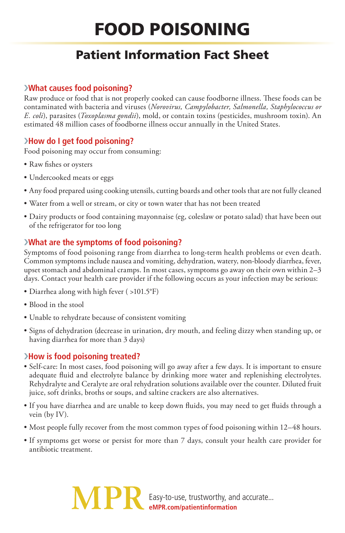# FOOD POISONING

# Patient Information Fact Sheet

# ›**What causes food poisoning?**

Raw produce or food that is not properly cooked can cause foodborne illness. These foods can be contaminated with bacteria and viruses (*Norovirus, Campylobacter, Salmonella, Staphylococcus or E. coli*), parasites (*Toxoplasma gondii*), mold, or contain toxins (pesticides, mushroom toxin). An estimated 48 million cases of foodborne illness occur annually in the United States.

# ›**How do I get food poisoning?**

Food poisoning may occur from consuming:

- Raw fishes or oysters
- Undercooked meats or eggs
- Any food prepared using cooking utensils, cutting boards and other tools that are not fully cleaned
- Water from a well or stream, or city or town water that has not been treated
- Dairy products or food containing mayonnaise (eg, coleslaw or potato salad) that have been out of the refrigerator for too long

# ›**What are the symptoms of food poisoning?**

Symptoms of food poisoning range from diarrhea to long-term health problems or even death. Common symptoms include nausea and vomiting, dehydration, watery, non-bloody diarrhea, fever, upset stomach and abdominal cramps. In most cases, symptoms go away on their own within 2–3 days. Contact your health care provider if the following occurs as your infection may be serious:

- Diarrhea along with high fever ( >101.5°F)
- Blood in the stool
- Unable to rehydrate because of consistent vomiting
- Signs of dehydration (decrease in urination, dry mouth, and feeling dizzy when standing up, or having diarrhea for more than 3 days)

## ›**How is food poisoning treated?**

- Self-care: In most cases, food poisoning will go away after a few days. It is important to ensure adequate fluid and electrolyte balance by drinking more water and replenishing electrolytes. Rehydralyte and Ceralyte are oral rehydration solutions available over the counter. Diluted fruit juice, soft drinks, broths or soups, and saltine crackers are also alternatives.
- If you have diarrhea and are unable to keep down fluids, you may need to get fluids through a vein (by IV).
- Most people fully recover from the most common types of food poisoning within 12–48 hours.
- If symptoms get worse or persist for more than 7 days, consult your health care provider for antibiotic treatment.

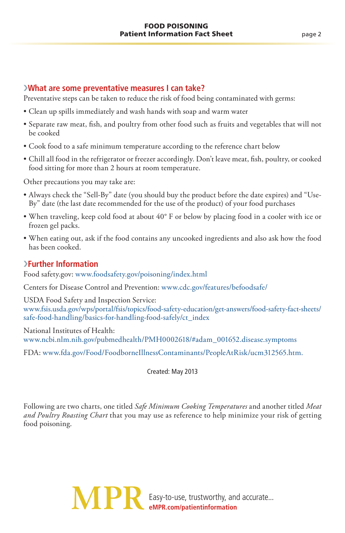#### ›**What are some preventative measures I can take?**

Preventative steps can be taken to reduce the risk of food being contaminated with germs:

- Clean up spills immediately and wash hands with soap and warm water
- Separate raw meat, fish, and poultry from other food such as fruits and vegetables that will not be cooked
- Cook food to a safe minimum temperature according to the reference chart below
- Chill all food in the refrigerator or freezer accordingly. Don't leave meat, fish, poultry, or cooked food sitting for more than 2 hours at room temperature.

Other precautions you may take are:

- Always check the "Sell-By" date (you should buy the product before the date expires) and "Use-By" date (the last date recommended for the use of the product) of your food purchases
- When traveling, keep cold food at about 40° F or below by placing food in a cooler with ice or frozen gel packs.
- When eating out, ask if the food contains any uncooked ingredients and also ask how the food has been cooked.

### ›**Further Information**

Food safety.gov: www.foodsafety.gov/poisoning/index.html

Centers for Disease Control and Prevention: www.cdc.gov/features/befoodsafe/

USDA Food Safety and Inspection Service: www.fsis.usda.gov/wps/portal/fsis/topics/food-safety-education/get-answers/food-safety-fact-sheets/ safe-food-handling/basics-for-handling-food-safely/ct\_index

National Institutes of Health: www.ncbi.nlm.nih.gov/pubmedhealth/PMH0002618/#adam\_001652.disease.symptoms

FDA: www.fda.gov/Food/FoodborneIllnessContaminants/PeopleAtRisk/ucm312565.htm.

Created: May 2013

Following are two charts, one titled *Safe Minimum Cooking Temperatures* and another titled *Meat and Poultry Roasting Chart* that you may use as reference to help minimize your risk of getting food poisoning.

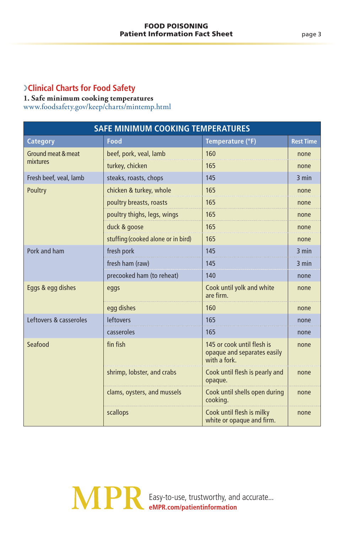# ›**Clinical Charts for Food Safety**

#### **1. Safe minimum cooking temperatures** www.foodsafety.gov/keep/charts/mintemp.html

| <b>SAFE MINIMUM COOKING TEMPERATURES</b> |                                    |                                                                          |                  |  |  |  |
|------------------------------------------|------------------------------------|--------------------------------------------------------------------------|------------------|--|--|--|
| <b>Category</b>                          | Food                               | Temperature (°F)                                                         | <b>Rest Time</b> |  |  |  |
| Ground meat & meat<br>mixtures           | beef, pork, veal, lamb             | 160                                                                      | none             |  |  |  |
|                                          | turkey, chicken                    | 165                                                                      | none             |  |  |  |
| Fresh beef, veal, lamb                   | steaks, roasts, chops              | 145                                                                      | 3 min            |  |  |  |
| Poultry                                  | chicken & turkey, whole            | 165                                                                      | none             |  |  |  |
|                                          | poultry breasts, roasts            | 165                                                                      | none             |  |  |  |
|                                          | poultry thighs, legs, wings        | 165                                                                      | none             |  |  |  |
|                                          | duck & goose                       | 165                                                                      | none             |  |  |  |
|                                          | stuffing (cooked alone or in bird) | 165                                                                      | none             |  |  |  |
| Pork and ham                             | fresh pork                         | 145                                                                      | 3 min            |  |  |  |
|                                          | fresh ham (raw)                    | 145                                                                      | 3 min            |  |  |  |
|                                          | precooked ham (to reheat)          | 140                                                                      | none             |  |  |  |
| Eggs & egg dishes                        | eggs                               | Cook until yolk and white<br>are firm.                                   | none             |  |  |  |
|                                          | egg dishes                         | 160                                                                      | none             |  |  |  |
| Leftovers & casseroles                   | <b>leftovers</b>                   | 165                                                                      | none             |  |  |  |
|                                          | casseroles                         | 165                                                                      | none             |  |  |  |
| Seafood                                  | fin fish                           | 145 or cook until flesh is<br>opaque and separates easily<br>with a fork | none             |  |  |  |
|                                          | shrimp, lobster, and crabs         | Cook until flesh is pearly and<br>opaque.                                | none             |  |  |  |
|                                          | clams, oysters, and mussels        | Cook until shells open during<br>cooking.                                | none             |  |  |  |
|                                          | scallops                           | Cook until flesh is milky<br>white or opaque and firm.                   | none             |  |  |  |